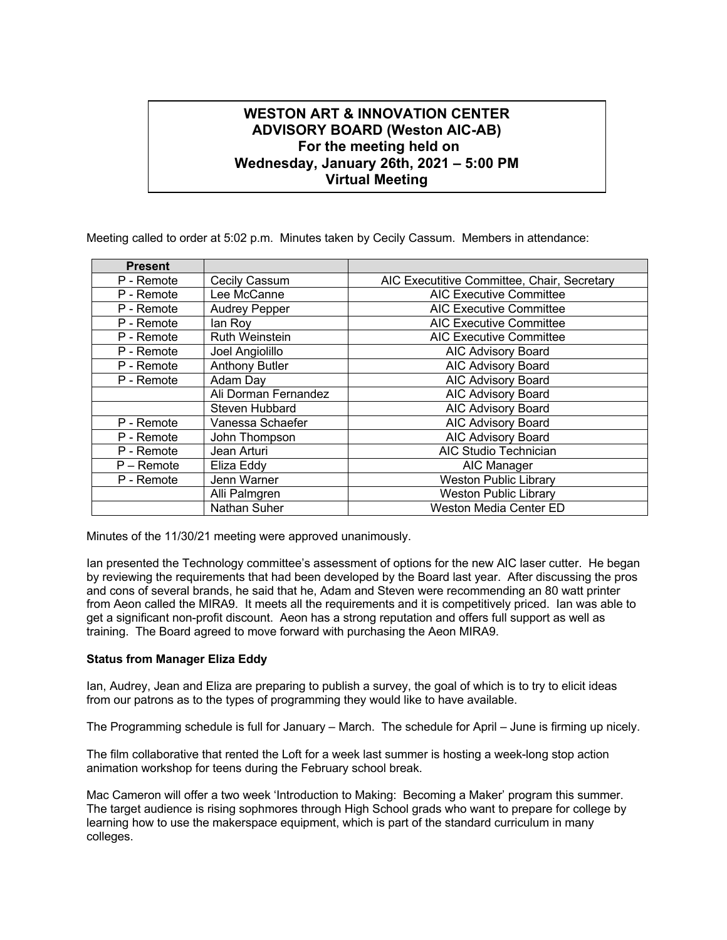## **WESTON ART & INNOVATION CENTER ADVISORY BOARD (Weston AIC-AB) For the meeting held on Wednesday, January 26th, 2021 – 5:00 PM Virtual Meeting**

**356 Boston Post Rd., Weston MA 02493**

Meeting called to order at 5:02 p.m. Minutes taken by Cecily Cassum. Members in attendance:

| <b>Present</b> |                       |                                             |
|----------------|-----------------------|---------------------------------------------|
| P - Remote     | Cecily Cassum         | AIC Executitive Committee, Chair, Secretary |
| P - Remote     | Lee McCanne           | <b>AIC Executive Committee</b>              |
| P - Remote     | <b>Audrey Pepper</b>  | <b>AIC Executive Committee</b>              |
| P - Remote     | lan Roy               | <b>AIC Executive Committee</b>              |
| P - Remote     | <b>Ruth Weinstein</b> | <b>AIC Executive Committee</b>              |
| P - Remote     | Joel Angiolillo       | <b>AIC Advisory Board</b>                   |
| P - Remote     | <b>Anthony Butler</b> | <b>AIC Advisory Board</b>                   |
| P - Remote     | Adam Day              | AIC Advisory Board                          |
|                | Ali Dorman Fernandez  | <b>AIC Advisory Board</b>                   |
|                | Steven Hubbard        | AIC Advisory Board                          |
| P - Remote     | Vanessa Schaefer      | <b>AIC Advisory Board</b>                   |
| P - Remote     | John Thompson         | <b>AIC Advisory Board</b>                   |
| P - Remote     | Jean Arturi           | AIC Studio Technician                       |
| $P -$ Remote   | Eliza Eddy            | AIC Manager                                 |
| P - Remote     | Jenn Warner           | <b>Weston Public Library</b>                |
|                | Alli Palmgren         | <b>Weston Public Library</b>                |
|                | <b>Nathan Suher</b>   | <b>Weston Media Center ED</b>               |

Minutes of the 11/30/21 meeting were approved unanimously.

Ian presented the Technology committee's assessment of options for the new AIC laser cutter. He began by reviewing the requirements that had been developed by the Board last year. After discussing the pros and cons of several brands, he said that he, Adam and Steven were recommending an 80 watt printer from Aeon called the MIRA9. It meets all the requirements and it is competitively priced. Ian was able to get a significant non-profit discount. Aeon has a strong reputation and offers full support as well as training. The Board agreed to move forward with purchasing the Aeon MIRA9.

## **Status from Manager Eliza Eddy**

Ian, Audrey, Jean and Eliza are preparing to publish a survey, the goal of which is to try to elicit ideas from our patrons as to the types of programming they would like to have available.

The Programming schedule is full for January – March. The schedule for April – June is firming up nicely.

The film collaborative that rented the Loft for a week last summer is hosting a week-long stop action animation workshop for teens during the February school break.

Mac Cameron will offer a two week 'Introduction to Making: Becoming a Maker' program this summer. The target audience is rising sophmores through High School grads who want to prepare for college by learning how to use the makerspace equipment, which is part of the standard curriculum in many colleges.